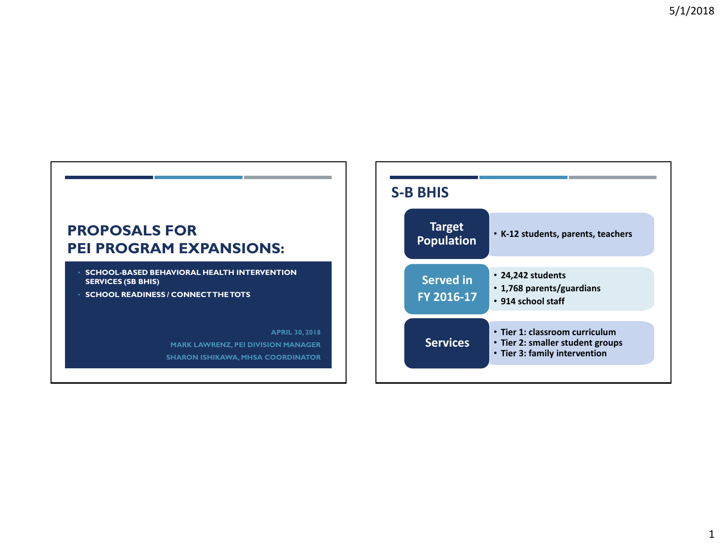

- **SCHOOL-BASED BEHAVIORAL HEALTH INTERVENTION SERVICES (SB BHIS)**
- **SCHOOL READINESS / CONNECT THE TOTS**

**APRIL 30, 2018 MARK LAWRENZ, PEI DIVISION MANAGER SHARON ISHIKAWA, MHSA COORDINATOR**

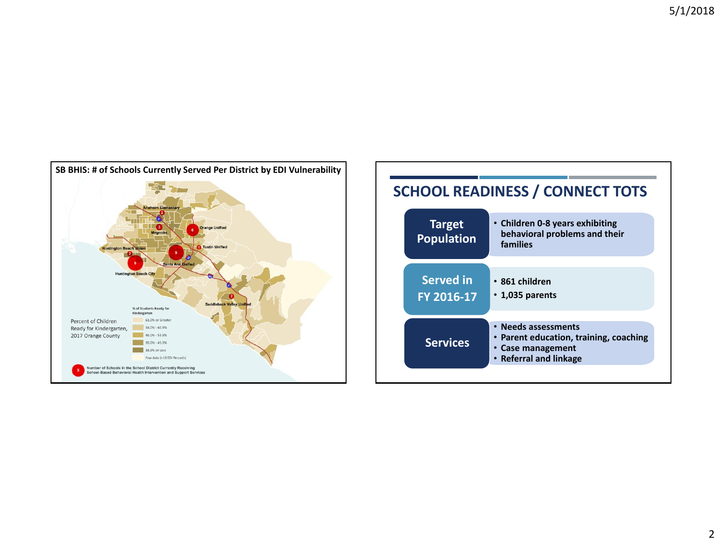

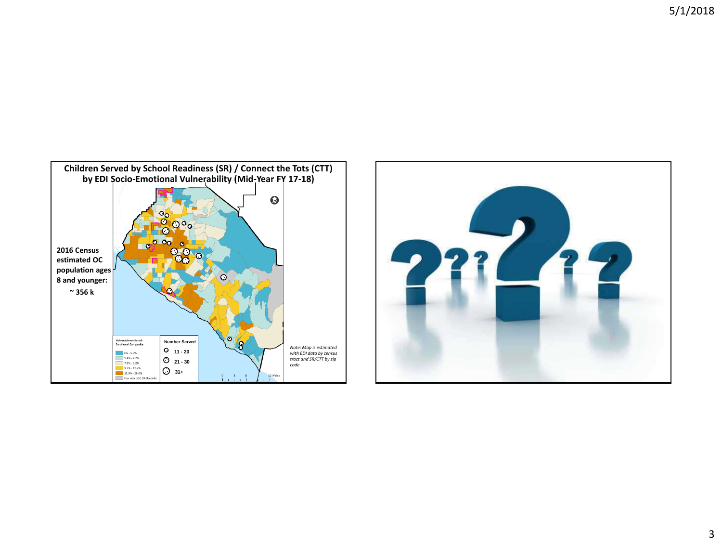5/1/2018